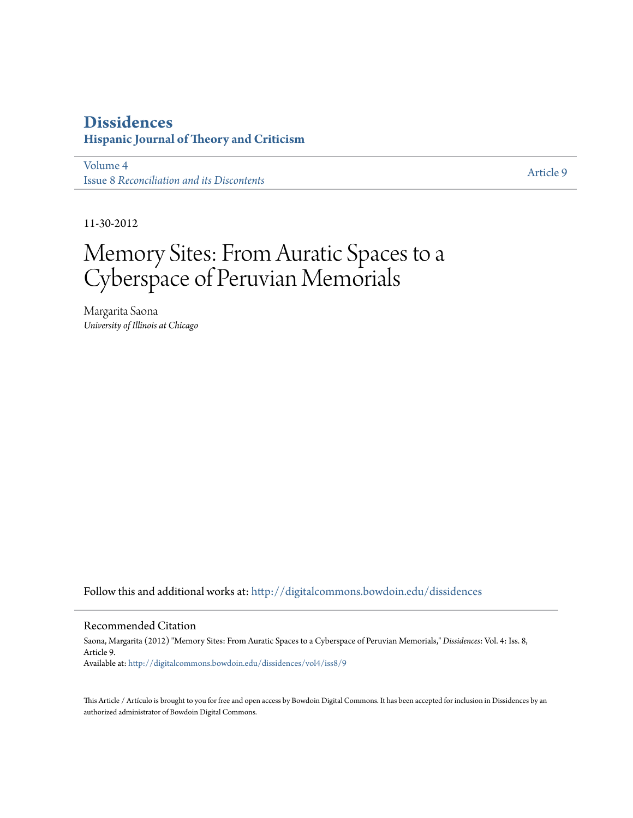#### **[Dissidences](http://digitalcommons.bowdoin.edu/dissidences?utm_source=digitalcommons.bowdoin.edu%2Fdissidences%2Fvol4%2Fiss8%2F9&utm_medium=PDF&utm_campaign=PDFCoverPages) Hispanic Journal of Theory and Criticism**

[Volume 4](http://digitalcommons.bowdoin.edu/dissidences/vol4?utm_source=digitalcommons.bowdoin.edu%2Fdissidences%2Fvol4%2Fiss8%2F9&utm_medium=PDF&utm_campaign=PDFCoverPages) Issue 8 *[Reconciliation and its Discontents](http://digitalcommons.bowdoin.edu/dissidences/vol4/iss8?utm_source=digitalcommons.bowdoin.edu%2Fdissidences%2Fvol4%2Fiss8%2F9&utm_medium=PDF&utm_campaign=PDFCoverPages)*

[Article 9](http://digitalcommons.bowdoin.edu/dissidences/vol4/iss8/9?utm_source=digitalcommons.bowdoin.edu%2Fdissidences%2Fvol4%2Fiss8%2F9&utm_medium=PDF&utm_campaign=PDFCoverPages)

11-30-2012

## Memory Sites: From Auratic Spaces to a Cyberspace of Peruvian Memorials

Margarita Saona *University of Illinois at Chicago*

Follow this and additional works at: [http://digitalcommons.bowdoin.edu/dissidences](http://digitalcommons.bowdoin.edu/dissidences?utm_source=digitalcommons.bowdoin.edu%2Fdissidences%2Fvol4%2Fiss8%2F9&utm_medium=PDF&utm_campaign=PDFCoverPages)

#### Recommended Citation

Saona, Margarita (2012) "Memory Sites: From Auratic Spaces to a Cyberspace of Peruvian Memorials," *Dissidences*: Vol. 4: Iss. 8, Article 9. Available at: [http://digitalcommons.bowdoin.edu/dissidences/vol4/iss8/9](http://digitalcommons.bowdoin.edu/dissidences/vol4/iss8/9?utm_source=digitalcommons.bowdoin.edu%2Fdissidences%2Fvol4%2Fiss8%2F9&utm_medium=PDF&utm_campaign=PDFCoverPages)

This Article / Artículo is brought to you for free and open access by Bowdoin Digital Commons. It has been accepted for inclusion in Dissidences by an authorized administrator of Bowdoin Digital Commons.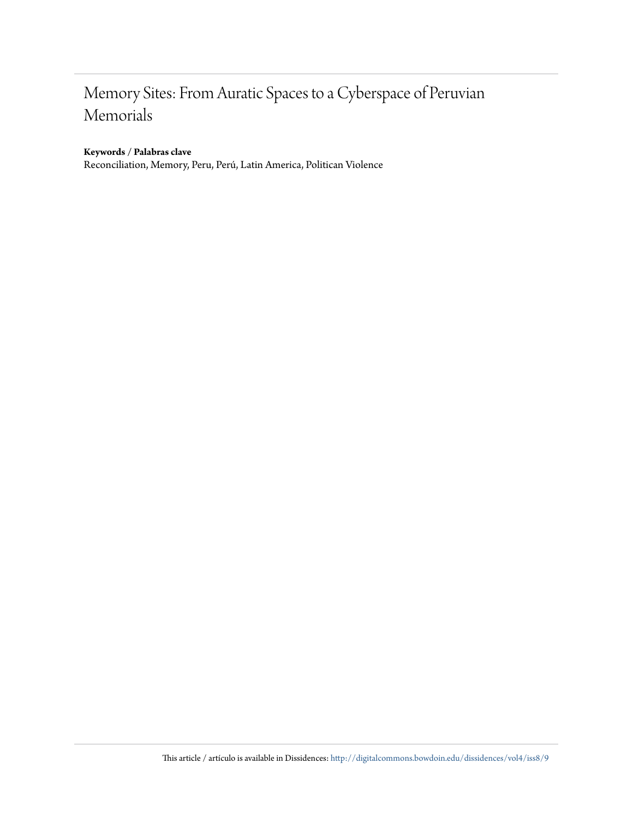### Memory Sites: From Auratic Spaces to a Cyberspace of Peruvian Memorials

#### **Keywords / Palabras clave**

Reconciliation, Memory, Peru, Perú, Latin America, Politican Violence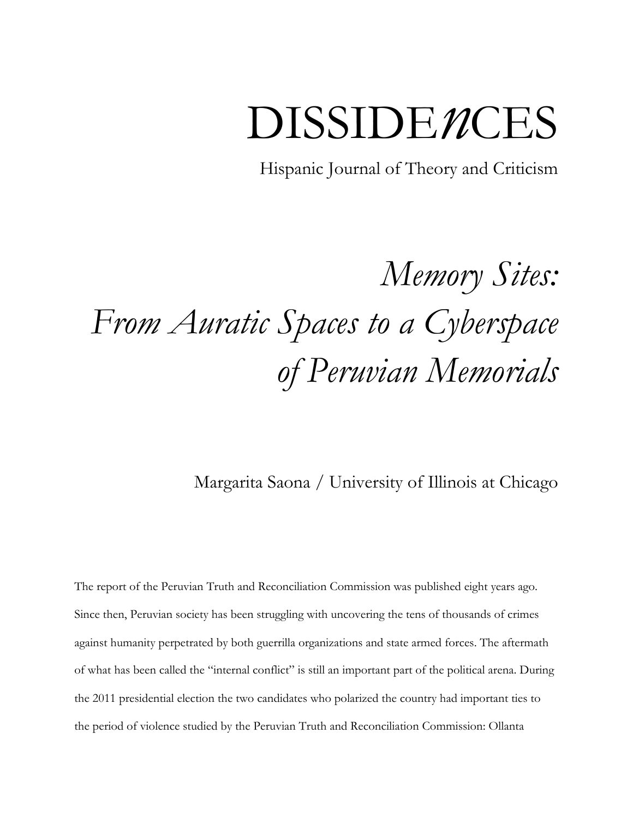# DISSIDE*n*CES

Hispanic Journal of Theory and Criticism

## *Memory Sites: From Auratic Spaces to a Cyberspace of Peruvian Memorials*

Margarita Saona / University of Illinois at Chicago

The report of the Peruvian Truth and Reconciliation Commission was published eight years ago. Since then, Peruvian society has been struggling with uncovering the tens of thousands of crimes against humanity perpetrated by both guerrilla organizations and state armed forces. The aftermath of what has been called the "internal conflict" is still an important part of the political arena. During the 2011 presidential election the two candidates who polarized the country had important ties to the period of violence studied by the Peruvian Truth and Reconciliation Commission: Ollanta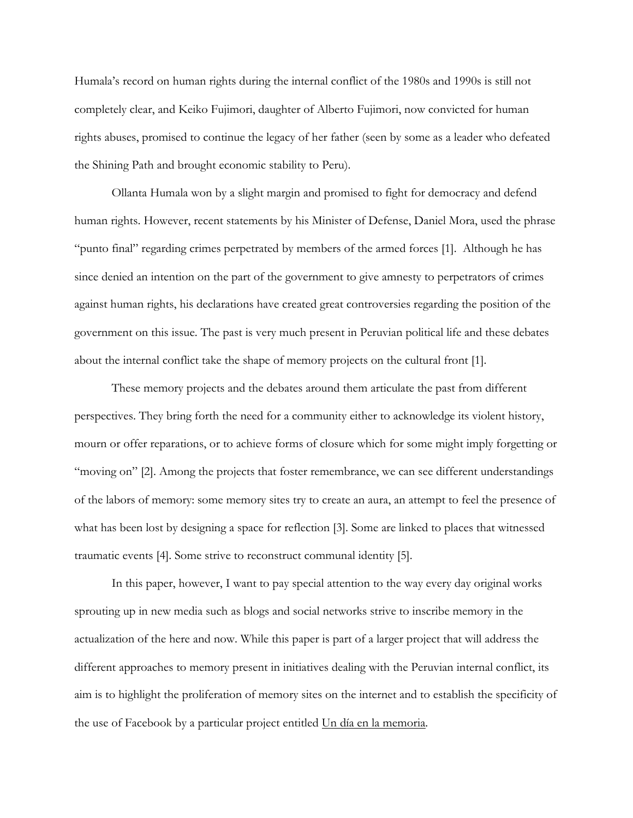Humala's record on human rights during the internal conflict of the 1980s and 1990s is still not completely clear, and Keiko Fujimori, daughter of Alberto Fujimori, now convicted for human rights abuses, promised to continue the legacy of her father (seen by some as a leader who defeated the Shining Path and brought economic stability to Peru).

Ollanta Humala won by a slight margin and promised to fight for democracy and defend human rights. However, recent statements by his Minister of Defense, Daniel Mora, used the phrase "punto final" regarding crimes perpetrated by members of the armed forces [1]. Although he has since denied an intention on the part of the government to give amnesty to perpetrators of crimes against human rights, his declarations have created great controversies regarding the position of the government on this issue. The past is very much present in Peruvian political life and these debates about the internal conflict take the shape of memory projects on the cultural front [1].

These memory projects and the debates around them articulate the past from different perspectives. They bring forth the need for a community either to acknowledge its violent history, mourn or offer reparations, or to achieve forms of closure which for some might imply forgetting or "moving on" [2]. Among the projects that foster remembrance, we can see different understandings of the labors of memory: some memory sites try to create an aura, an attempt to feel the presence of what has been lost by designing a space for reflection [3]. Some are linked to places that witnessed traumatic events [4]. Some strive to reconstruct communal identity [5].

In this paper, however, I want to pay special attention to the way every day original works sprouting up in new media such as blogs and social networks strive to inscribe memory in the actualization of the here and now. While this paper is part of a larger project that will address the different approaches to memory present in initiatives dealing with the Peruvian internal conflict, its aim is to highlight the proliferation of memory sites on the internet and to establish the specificity of the use of Facebook by a particular project entitled Un día en la memoria.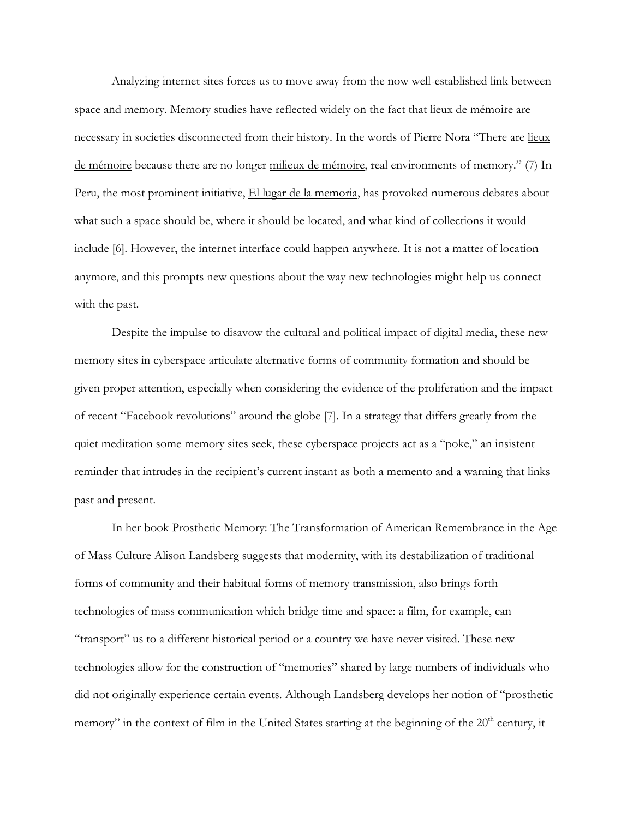Analyzing internet sites forces us to move away from the now well-established link between space and memory. Memory studies have reflected widely on the fact that lieux de mémoire are necessary in societies disconnected from their history. In the words of Pierre Nora "There are lieux de mémoire because there are no longer milieux de mémoire, real environments of memory." (7) In Peru, the most prominent initiative, El lugar de la memoria, has provoked numerous debates about what such a space should be, where it should be located, and what kind of collections it would include [6]. However, the internet interface could happen anywhere. It is not a matter of location anymore, and this prompts new questions about the way new technologies might help us connect with the past.

Despite the impulse to disavow the cultural and political impact of digital media, these new memory sites in cyberspace articulate alternative forms of community formation and should be given proper attention, especially when considering the evidence of the proliferation and the impact of recent "Facebook revolutions" around the globe [7]. In a strategy that differs greatly from the quiet meditation some memory sites seek, these cyberspace projects act as a "poke," an insistent reminder that intrudes in the recipient's current instant as both a memento and a warning that links past and present.

In her book Prosthetic Memory: The Transformation of American Remembrance in the Age of Mass Culture Alison Landsberg suggests that modernity, with its destabilization of traditional forms of community and their habitual forms of memory transmission, also brings forth technologies of mass communication which bridge time and space: a film, for example, can "transport" us to a different historical period or a country we have never visited. These new technologies allow for the construction of "memories" shared by large numbers of individuals who did not originally experience certain events. Although Landsberg develops her notion of "prosthetic memory" in the context of film in the United States starting at the beginning of the 20<sup>th</sup> century, it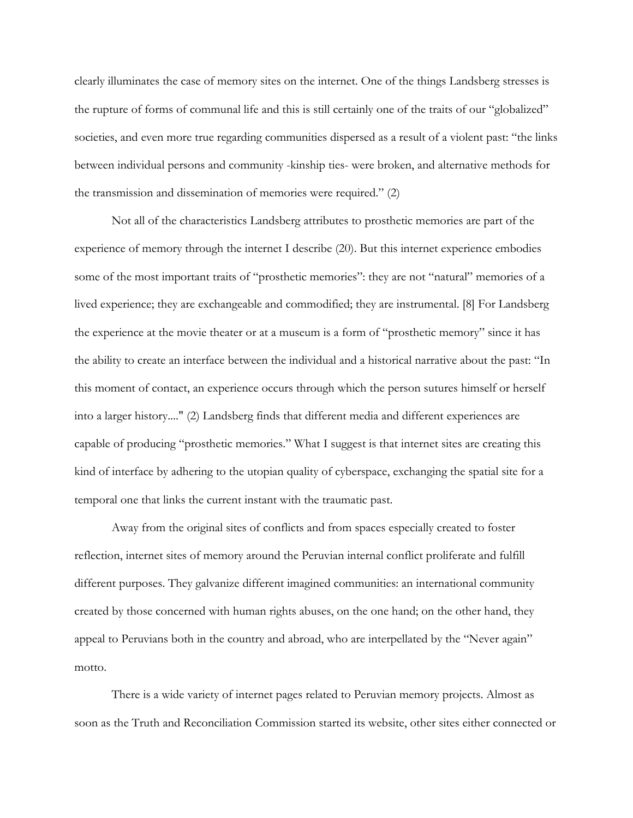clearly illuminates the case of memory sites on the internet. One of the things Landsberg stresses is the rupture of forms of communal life and this is still certainly one of the traits of our "globalized" societies, and even more true regarding communities dispersed as a result of a violent past: "the links between individual persons and community -kinship ties- were broken, and alternative methods for the transmission and dissemination of memories were required." (2)

Not all of the characteristics Landsberg attributes to prosthetic memories are part of the experience of memory through the internet I describe (20). But this internet experience embodies some of the most important traits of "prosthetic memories": they are not "natural" memories of a lived experience; they are exchangeable and commodified; they are instrumental. [8] For Landsberg the experience at the movie theater or at a museum is a form of "prosthetic memory" since it has the ability to create an interface between the individual and a historical narrative about the past: "In this moment of contact, an experience occurs through which the person sutures himself or herself into a larger history...." (2) Landsberg finds that different media and different experiences are capable of producing "prosthetic memories." What I suggest is that internet sites are creating this kind of interface by adhering to the utopian quality of cyberspace, exchanging the spatial site for a temporal one that links the current instant with the traumatic past.

Away from the original sites of conflicts and from spaces especially created to foster reflection, internet sites of memory around the Peruvian internal conflict proliferate and fulfill different purposes. They galvanize different imagined communities: an international community created by those concerned with human rights abuses, on the one hand; on the other hand, they appeal to Peruvians both in the country and abroad, who are interpellated by the "Never again" motto.

There is a wide variety of internet pages related to Peruvian memory projects. Almost as soon as the Truth and Reconciliation Commission started its website, other sites either connected or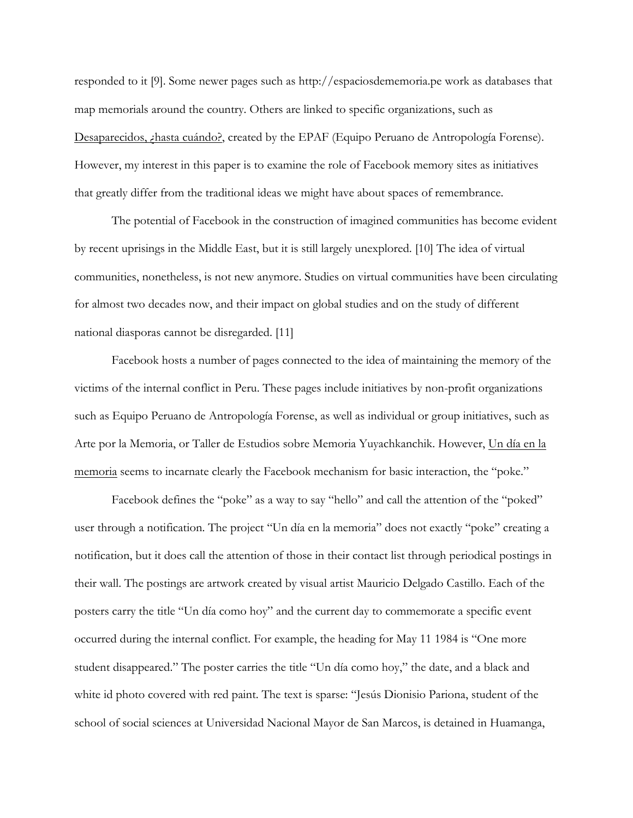responded to it [9]. Some newer pages such as http://espaciosdememoria.pe work as databases that map memorials around the country. Others are linked to specific organizations, such as Desaparecidos, ¿hasta cuándo?, created by the EPAF (Equipo Peruano de Antropología Forense). However, my interest in this paper is to examine the role of Facebook memory sites as initiatives that greatly differ from the traditional ideas we might have about spaces of remembrance.

The potential of Facebook in the construction of imagined communities has become evident by recent uprisings in the Middle East, but it is still largely unexplored. [10] The idea of virtual communities, nonetheless, is not new anymore. Studies on virtual communities have been circulating for almost two decades now, and their impact on global studies and on the study of different national diasporas cannot be disregarded. [11]

Facebook hosts a number of pages connected to the idea of maintaining the memory of the victims of the internal conflict in Peru. These pages include initiatives by non-profit organizations such as Equipo Peruano de Antropología Forense, as well as individual or group initiatives, such as Arte por la Memoria, or Taller de Estudios sobre Memoria Yuyachkanchik. However, Un día en la memoria seems to incarnate clearly the Facebook mechanism for basic interaction, the "poke."

Facebook defines the "poke" as a way to say "hello" and call the attention of the "poked" user through a notification. The project "Un día en la memoria" does not exactly "poke" creating a notification, but it does call the attention of those in their contact list through periodical postings in their wall. The postings are artwork created by visual artist Mauricio Delgado Castillo. Each of the posters carry the title "Un día como hoy" and the current day to commemorate a specific event occurred during the internal conflict. For example, the heading for May 11 1984 is "One more student disappeared." The poster carries the title "Un día como hoy," the date, and a black and white id photo covered with red paint. The text is sparse: "Jesús Dionisio Pariona, student of the school of social sciences at Universidad Nacional Mayor de San Marcos, is detained in Huamanga,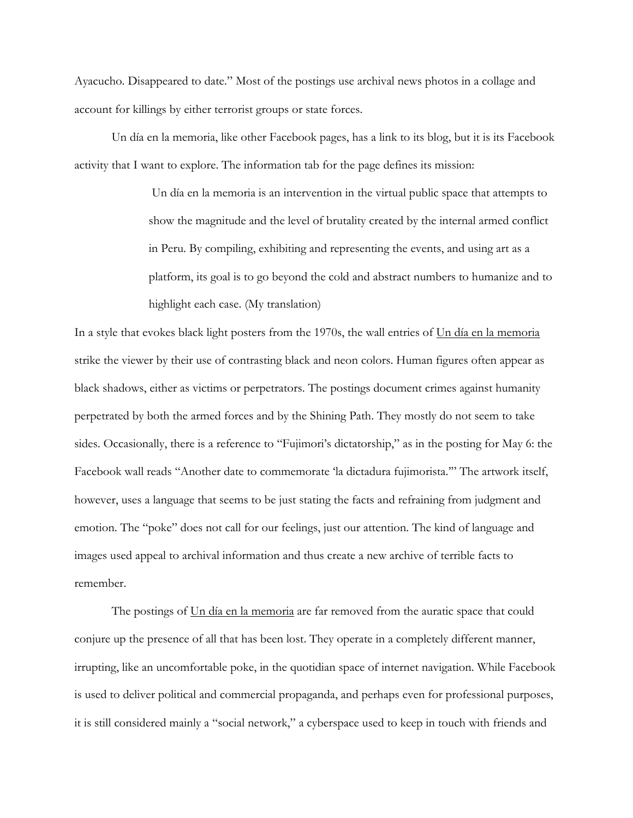Ayacucho. Disappeared to date." Most of the postings use archival news photos in a collage and account for killings by either terrorist groups or state forces.

Un día en la memoria, like other Facebook pages, has a link to its blog, but it is its Facebook activity that I want to explore. The information tab for the page defines its mission:

> Un día en la memoria is an intervention in the virtual public space that attempts to show the magnitude and the level of brutality created by the internal armed conflict in Peru. By compiling, exhibiting and representing the events, and using art as a platform, its goal is to go beyond the cold and abstract numbers to humanize and to highlight each case. (My translation)

In a style that evokes black light posters from the 1970s, the wall entries of Un día en la memoria strike the viewer by their use of contrasting black and neon colors. Human figures often appear as black shadows, either as victims or perpetrators. The postings document crimes against humanity perpetrated by both the armed forces and by the Shining Path. They mostly do not seem to take sides. Occasionally, there is a reference to "Fujimori's dictatorship," as in the posting for May 6: the Facebook wall reads "Another date to commemorate 'la dictadura fujimorista.'" The artwork itself, however, uses a language that seems to be just stating the facts and refraining from judgment and emotion. The "poke" does not call for our feelings, just our attention. The kind of language and images used appeal to archival information and thus create a new archive of terrible facts to remember.

The postings of Un día en la memoria are far removed from the auratic space that could conjure up the presence of all that has been lost. They operate in a completely different manner, irrupting, like an uncomfortable poke, in the quotidian space of internet navigation. While Facebook is used to deliver political and commercial propaganda, and perhaps even for professional purposes, it is still considered mainly a "social network," a cyberspace used to keep in touch with friends and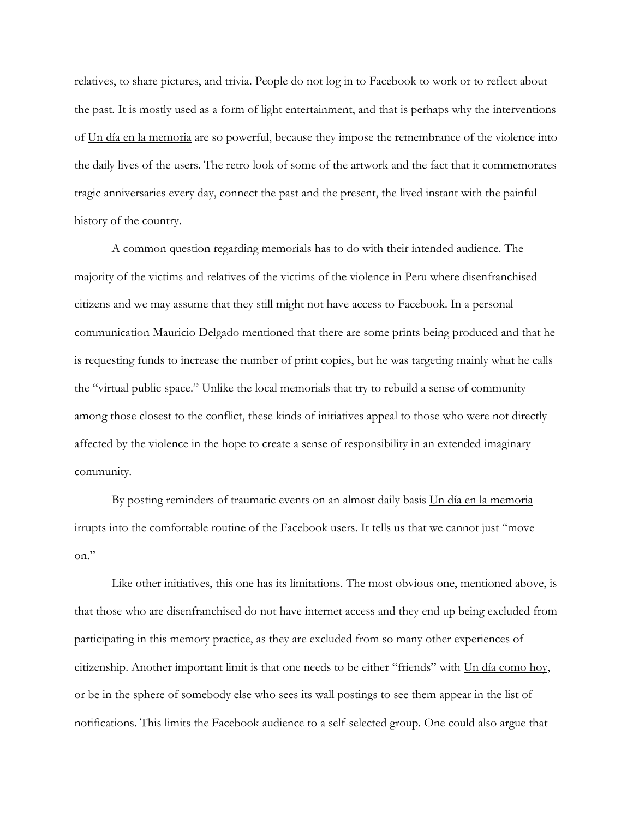relatives, to share pictures, and trivia. People do not log in to Facebook to work or to reflect about the past. It is mostly used as a form of light entertainment, and that is perhaps why the interventions of Un día en la memoria are so powerful, because they impose the remembrance of the violence into the daily lives of the users. The retro look of some of the artwork and the fact that it commemorates tragic anniversaries every day, connect the past and the present, the lived instant with the painful history of the country.

A common question regarding memorials has to do with their intended audience. The majority of the victims and relatives of the victims of the violence in Peru where disenfranchised citizens and we may assume that they still might not have access to Facebook. In a personal communication Mauricio Delgado mentioned that there are some prints being produced and that he is requesting funds to increase the number of print copies, but he was targeting mainly what he calls the "virtual public space." Unlike the local memorials that try to rebuild a sense of community among those closest to the conflict, these kinds of initiatives appeal to those who were not directly affected by the violence in the hope to create a sense of responsibility in an extended imaginary community.

By posting reminders of traumatic events on an almost daily basis Un día en la memoria irrupts into the comfortable routine of the Facebook users. It tells us that we cannot just "move on."

Like other initiatives, this one has its limitations. The most obvious one, mentioned above, is that those who are disenfranchised do not have internet access and they end up being excluded from participating in this memory practice, as they are excluded from so many other experiences of citizenship. Another important limit is that one needs to be either "friends" with Un día como hoy, or be in the sphere of somebody else who sees its wall postings to see them appear in the list of notifications. This limits the Facebook audience to a self-selected group. One could also argue that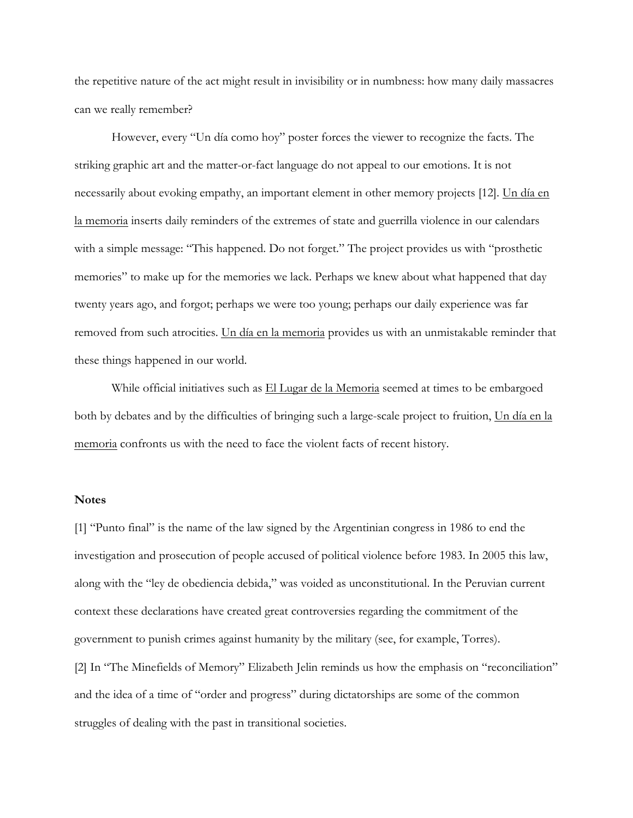the repetitive nature of the act might result in invisibility or in numbness: how many daily massacres can we really remember?

However, every "Un día como hoy" poster forces the viewer to recognize the facts. The striking graphic art and the matter-or-fact language do not appeal to our emotions. It is not necessarily about evoking empathy, an important element in other memory projects [12]. Un día en la memoria inserts daily reminders of the extremes of state and guerrilla violence in our calendars with a simple message: "This happened. Do not forget." The project provides us with "prosthetic memories" to make up for the memories we lack. Perhaps we knew about what happened that day twenty years ago, and forgot; perhaps we were too young; perhaps our daily experience was far removed from such atrocities. Un día en la memoria provides us with an unmistakable reminder that these things happened in our world.

While official initiatives such as El Lugar de la Memoria seemed at times to be embargoed both by debates and by the difficulties of bringing such a large-scale project to fruition, Un día en la memoria confronts us with the need to face the violent facts of recent history.

#### **Notes**

[1] "Punto final" is the name of the law signed by the Argentinian congress in 1986 to end the investigation and prosecution of people accused of political violence before 1983. In 2005 this law, along with the "ley de obediencia debida," was voided as unconstitutional. In the Peruvian current context these declarations have created great controversies regarding the commitment of the government to punish crimes against humanity by the military (see, for example, Torres). [2] In "The Minefields of Memory" Elizabeth Jelin reminds us how the emphasis on "reconciliation" and the idea of a time of "order and progress" during dictatorships are some of the common struggles of dealing with the past in transitional societies.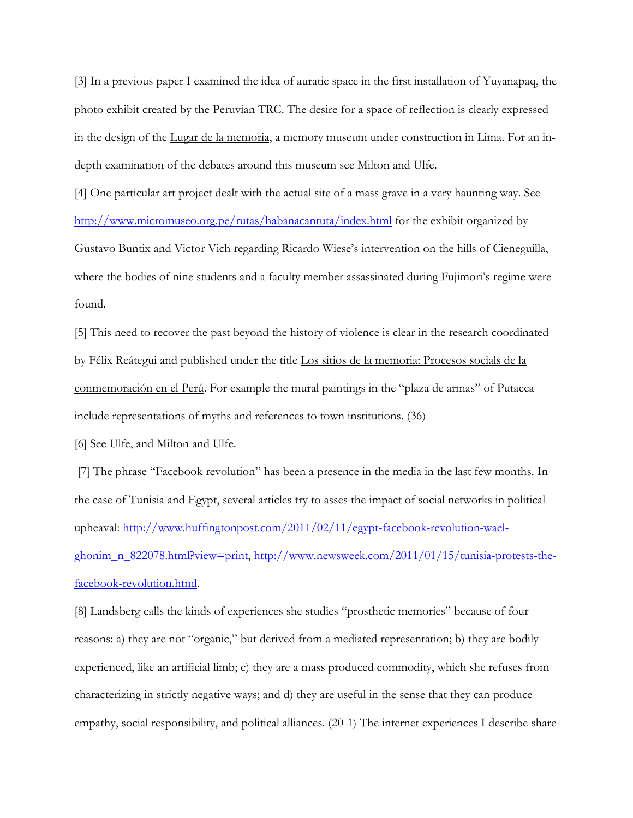[3] In a previous paper I examined the idea of auratic space in the first installation of Yuyanapaq, the photo exhibit created by the Peruvian TRC. The desire for a space of reflection is clearly expressed in the design of the Lugar de la memoria, a memory museum under construction in Lima. For an indepth examination of the debates around this museum see Milton and Ulfe.

[4] One particular art project dealt with the actual site of a mass grave in a very haunting way. See http://www.micromuseo.org.pe/rutas/habanacantuta/index.html for the exhibit organized by Gustavo Buntix and Victor Vich regarding Ricardo Wiese's intervention on the hills of Cieneguilla, where the bodies of nine students and a faculty member assassinated during Fujimori's regime were found.

[5] This need to recover the past beyond the history of violence is clear in the research coordinated by Félix Reátegui and published under the title Los sitios de la memoria: Procesos socials de la conmemoración en el Perú. For example the mural paintings in the "plaza de armas" of Putacca include representations of myths and references to town institutions. (36)

[6] See Ulfe, and Milton and Ulfe.

[7] The phrase "Facebook revolution" has been a presence in the media in the last few months. In the case of Tunisia and Egypt, several articles try to asses the impact of social networks in political upheaval: http://www.huffingtonpost.com/2011/02/11/egypt-facebook-revolution-waelghonim\_n\_822078.html?view=print, http://www.newsweek.com/2011/01/15/tunisia-protests-thefacebook-revolution.html.

[8] Landsberg calls the kinds of experiences she studies "prosthetic memories" because of four reasons: a) they are not "organic," but derived from a mediated representation; b) they are bodily experienced, like an artificial limb; c) they are a mass produced commodity, which she refuses from characterizing in strictly negative ways; and d) they are useful in the sense that they can produce empathy, social responsibility, and political alliances. (20-1) The internet experiences I describe share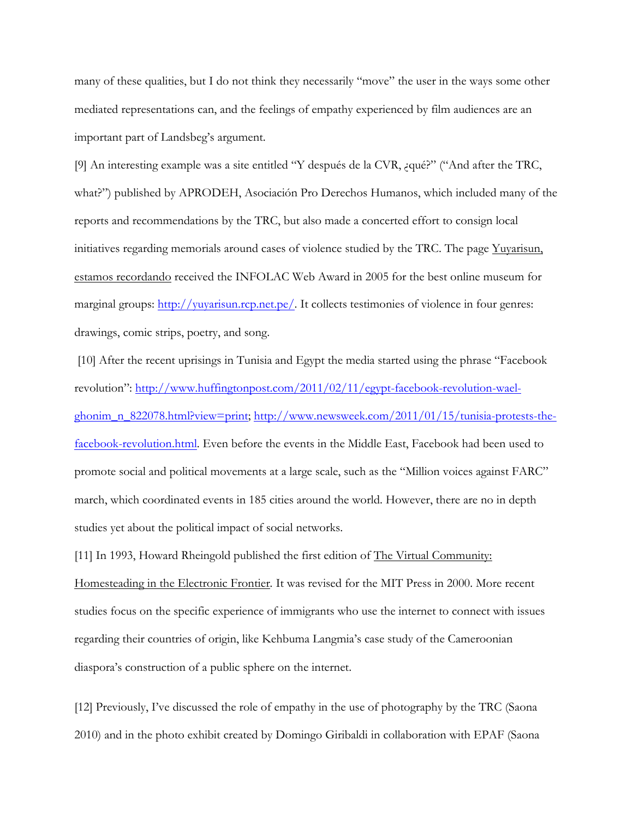many of these qualities, but I do not think they necessarily "move" the user in the ways some other mediated representations can, and the feelings of empathy experienced by film audiences are an important part of Landsbeg's argument.

[9] An interesting example was a site entitled "Y después de la CVR, ¿qué?" ("And after the TRC, what?") published by APRODEH, Asociación Pro Derechos Humanos, which included many of the reports and recommendations by the TRC, but also made a concerted effort to consign local initiatives regarding memorials around cases of violence studied by the TRC. The page Yuyarisun, estamos recordando received the INFOLAC Web Award in 2005 for the best online museum for marginal groups: http://yuyarisun.rcp.net.pe/. It collects testimonies of violence in four genres: drawings, comic strips, poetry, and song.

[10] After the recent uprisings in Tunisia and Egypt the media started using the phrase "Facebook revolution": http://www.huffingtonpost.com/2011/02/11/egypt-facebook-revolution-waelghonim\_n\_822078.html?view=print; http://www.newsweek.com/2011/01/15/tunisia-protests-thefacebook-revolution.html. Even before the events in the Middle East, Facebook had been used to promote social and political movements at a large scale, such as the "Million voices against FARC" march, which coordinated events in 185 cities around the world. However, there are no in depth studies yet about the political impact of social networks.

[11] In 1993, Howard Rheingold published the first edition of The Virtual Community: Homesteading in the Electronic Frontier*.* It was revised for the MIT Press in 2000. More recent studies focus on the specific experience of immigrants who use the internet to connect with issues regarding their countries of origin, like Kehbuma Langmia's case study of the Cameroonian diaspora's construction of a public sphere on the internet.

[12] Previously, I've discussed the role of empathy in the use of photography by the TRC (Saona 2010) and in the photo exhibit created by Domingo Giribaldi in collaboration with EPAF (Saona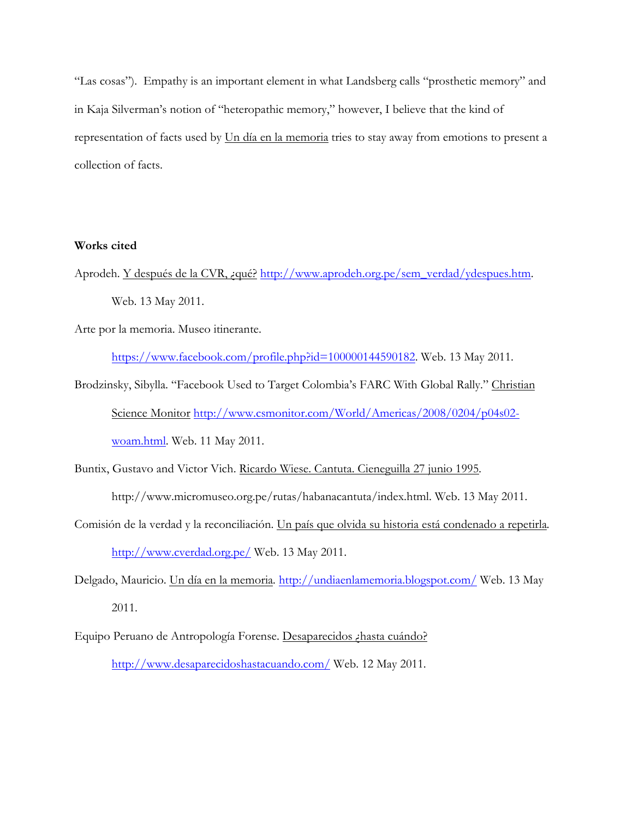"Las cosas"). Empathy is an important element in what Landsberg calls "prosthetic memory" and in Kaja Silverman's notion of "heteropathic memory," however, I believe that the kind of representation of facts used by Un día en la memoria tries to stay away from emotions to present a collection of facts.

#### **Works cited**

Aprodeh. Y después de la CVR, ¿qué? http://www.aprodeh.org.pe/sem\_verdad/ydespues.htm. Web. 13 May 2011.

Arte por la memoria. Museo itinerante.

https://www.facebook.com/profile.php?id=100000144590182. Web. 13 May 2011.

- Brodzinsky, Sibylla. "Facebook Used to Target Colombia's FARC With Global Rally." Christian Science Monitor http://www.csmonitor.com/World/Americas/2008/0204/p04s02 woam.html. Web. 11 May 2011.
- Buntix, Gustavo and Victor Vich. Ricardo Wiese. Cantuta. Cieneguilla 27 junio 1995*.* http://www.micromuseo.org.pe/rutas/habanacantuta/index.html. Web. 13 May 2011.
- Comisión de la verdad y la reconciliación. Un país que olvida su historia está condenado a repetirla*.* http://www.cverdad.org.pe/ Web. 13 May 2011.
- Delgado, Mauricio. Un día en la memoria*.* http://undiaenlamemoria.blogspot.com/ Web. 13 May 2011.
- Equipo Peruano de Antropología Forense. Desaparecidos ¿hasta cuándo? http://www.desaparecidoshastacuando.com/ Web. 12 May 2011.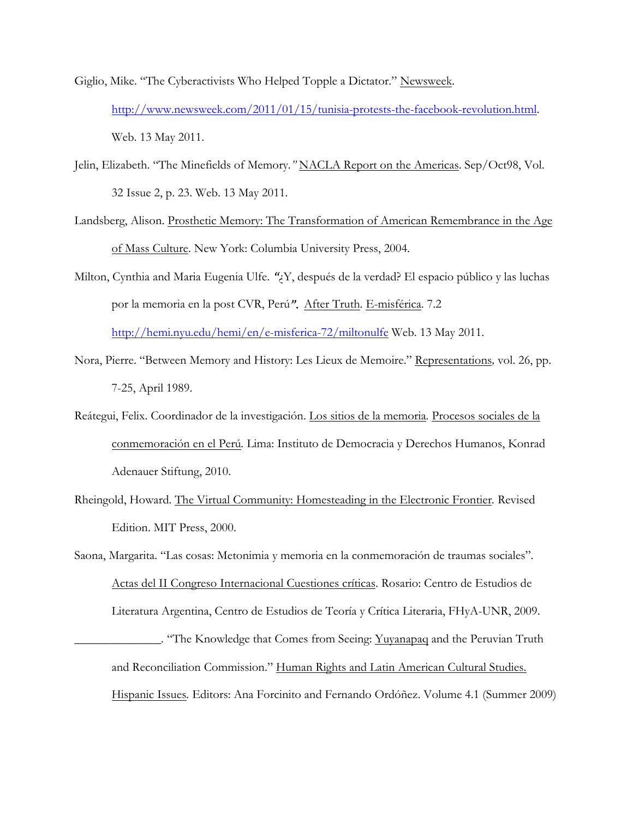Giglio, Mike. "The Cyberactivists Who Helped Topple a Dictator." Newsweek. http://www.newsweek.com/2011/01/15/tunisia-protests-the-facebook-revolution.html. Web. 13 May 2011.

- Jelin, Elizabeth. "The Minefields of Memory*."* NACLA Report on the Americas. Sep/Oct98, Vol. 32 Issue 2, p. 23. Web. 13 May 2011.
- Landsberg, Alison. Prosthetic Memory: The Transformation of American Remembrance in the Age of Mass Culture. New York: Columbia University Press, 2004.
- Milton, Cynthia and Maria Eugenia Ulfe. *"*¿Y, después de la verdad? El espacio público y las luchas por la memoria en la post CVR, Perú*".* After Truth*.* E-misférica. 7.2 http://hemi.nyu.edu/hemi/en/e-misferica-72/miltonulfe Web. 13 May 2011.
- Nora, Pierre. "Between Memory and History: Les Lieux de Memoire." Representations*,* vol. 26, pp. 7-25, April 1989.
- Reátegui, Felix. Coordinador de la investigación. Los sitios de la memoria*.* Procesos sociales de la conmemoración en el Perú*.* Lima: Instituto de Democracia y Derechos Humanos, Konrad Adenauer Stiftung, 2010.
- Rheingold, Howard. The Virtual Community: Homesteading in the Electronic Frontier*.* Revised Edition. MIT Press, 2000.

Saona, Margarita. "Las cosas: Metonimia y memoria en la conmemoración de traumas sociales". Actas del II Congreso Internacional Cuestiones críticas. Rosario: Centro de Estudios de Literatura Argentina, Centro de Estudios de Teoría y Crítica Literaria, FHyA-UNR, 2009. *\_\_\_\_\_\_\_\_\_\_\_\_\_\_.* "The Knowledge that Comes from Seeing: Yuyanapaq and the Peruvian Truth

and Reconciliation Commission." Human Rights and Latin American Cultural Studies. Hispanic Issues*.* Editors: Ana Forcinito and Fernando Ordóñez. Volume 4.1 (Summer 2009)